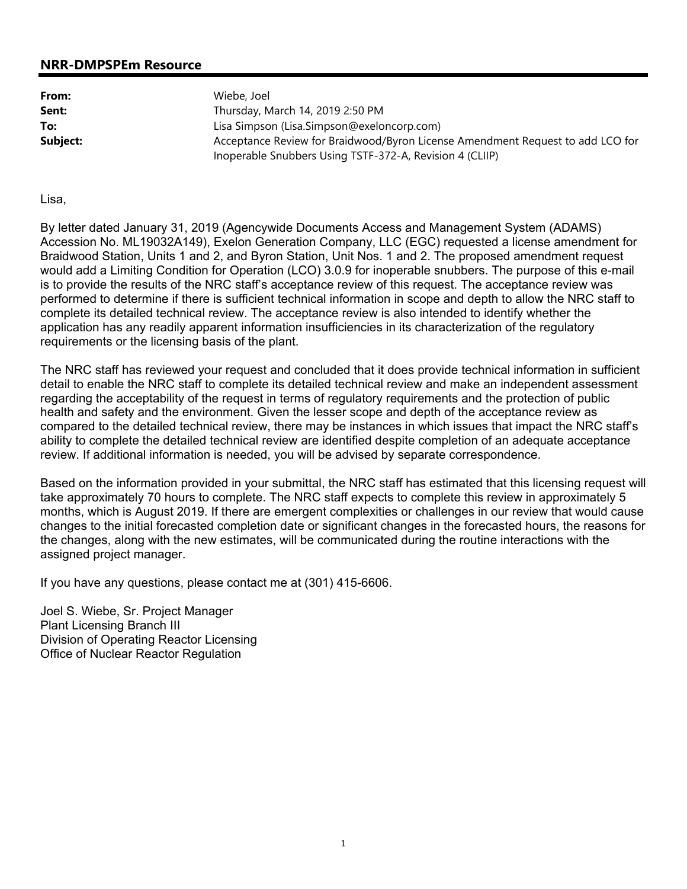## **NRR-DMPSPEm Resource**

| From:    | Wiebe, Joel                                                                                                                                |
|----------|--------------------------------------------------------------------------------------------------------------------------------------------|
| Sent:    | Thursday, March 14, 2019 2:50 PM                                                                                                           |
| To:      | Lisa Simpson (Lisa.Simpson@exeloncorp.com)                                                                                                 |
| Subject: | Acceptance Review for Braidwood/Byron License Amendment Request to add LCO for<br>Inoperable Snubbers Using TSTF-372-A, Revision 4 (CLIIP) |

Lisa,

By letter dated January 31, 2019 (Agencywide Documents Access and Management System (ADAMS) Accession No. ML19032A149), Exelon Generation Company, LLC (EGC) requested a license amendment for Braidwood Station, Units 1 and 2, and Byron Station, Unit Nos. 1 and 2. The proposed amendment request would add a Limiting Condition for Operation (LCO) 3.0.9 for inoperable snubbers. The purpose of this e-mail is to provide the results of the NRC staff's acceptance review of this request. The acceptance review was performed to determine if there is sufficient technical information in scope and depth to allow the NRC staff to complete its detailed technical review. The acceptance review is also intended to identify whether the application has any readily apparent information insufficiencies in its characterization of the regulatory requirements or the licensing basis of the plant.

The NRC staff has reviewed your request and concluded that it does provide technical information in sufficient detail to enable the NRC staff to complete its detailed technical review and make an independent assessment regarding the acceptability of the request in terms of regulatory requirements and the protection of public health and safety and the environment. Given the lesser scope and depth of the acceptance review as compared to the detailed technical review, there may be instances in which issues that impact the NRC staff's ability to complete the detailed technical review are identified despite completion of an adequate acceptance review. If additional information is needed, you will be advised by separate correspondence.

Based on the information provided in your submittal, the NRC staff has estimated that this licensing request will take approximately 70 hours to complete. The NRC staff expects to complete this review in approximately 5 months, which is August 2019. If there are emergent complexities or challenges in our review that would cause changes to the initial forecasted completion date or significant changes in the forecasted hours, the reasons for the changes, along with the new estimates, will be communicated during the routine interactions with the assigned project manager.

If you have any questions, please contact me at (301) 415-6606.

Joel S. Wiebe, Sr. Project Manager Plant Licensing Branch III Division of Operating Reactor Licensing Office of Nuclear Reactor Regulation